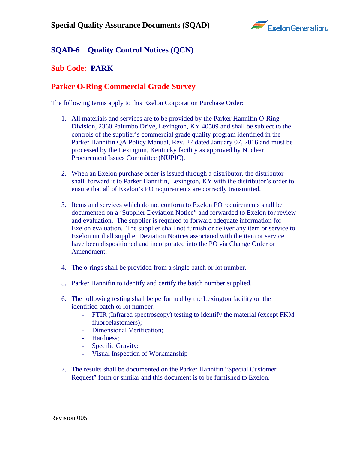

## **SQAD-6 Quality Control Notices (QCN)**

## **Sub Code: PARK**

## **Parker O-Ring Commercial Grade Survey**

The following terms apply to this Exelon Corporation Purchase Order:

- 1. All materials and services are to be provided by the Parker Hannifin O-Ring Division, 2360 Palumbo Drive, Lexington, KY 40509 and shall be subject to the controls of the supplier's commercial grade quality program identified in the Parker Hannifin QA Policy Manual, Rev. 27 dated January 07, 2016 and must be processed by the Lexington, Kentucky facility as approved by Nuclear Procurement Issues Committee (NUPIC).
- 2. When an Exelon purchase order is issued through a distributor, the distributor shall forward it to Parker Hannifin, Lexington, KY with the distributor's order to ensure that all of Exelon's PO requirements are correctly transmitted.
- 3. Items and services which do not conform to Exelon PO requirements shall be documented on a 'Supplier Deviation Notice" and forwarded to Exelon for review and evaluation. The supplier is required to forward adequate information for Exelon evaluation. The supplier shall not furnish or deliver any item or service to Exelon until all supplier Deviation Notices associated with the item or service have been dispositioned and incorporated into the PO via Change Order or Amendment.
- 4. The o-rings shall be provided from a single batch or lot number.
- 5. Parker Hannifin to identify and certify the batch number supplied.
- 6. The following testing shall be performed by the Lexington facility on the identified batch or lot number:
	- FTIR (Infrared spectroscopy) testing to identify the material (except FKM fluoroelastomers);
	- Dimensional Verification:
	- Hardness;
	- Specific Gravity;
	- Visual Inspection of Workmanship
- 7. The results shall be documented on the Parker Hannifin "Special Customer Request" form or similar and this document is to be furnished to Exelon.